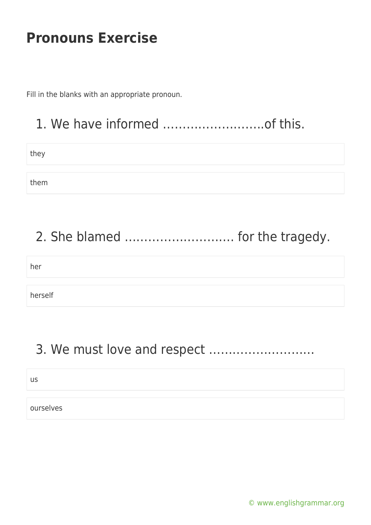Fill in the blanks with an appropriate pronoun.

### 1. We have informed ……………………..of this.

they

them

# 2. She blamed ………………………. for the tragedy.

her

herself

### 3. We must love and respect ………………………

us

ourselves

[© www.englishgrammar.org](https://www.englishgrammar.org/)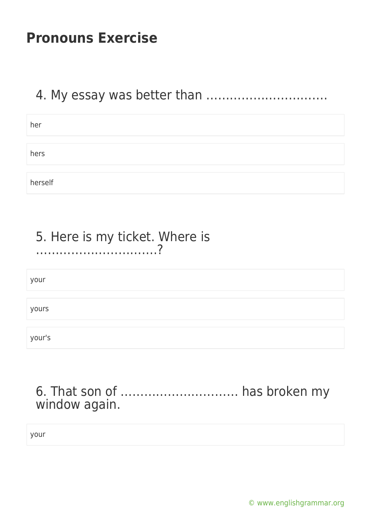### 4. My essay was better than ………………………….

| her     |  |
|---------|--|
|         |  |
| hers    |  |
|         |  |
| herself |  |

#### 5. Here is my ticket. Where is ………………………….?

your

yours

your's

### 6. That son of ………………………… has broken my window again.

your

[© www.englishgrammar.org](https://www.englishgrammar.org/)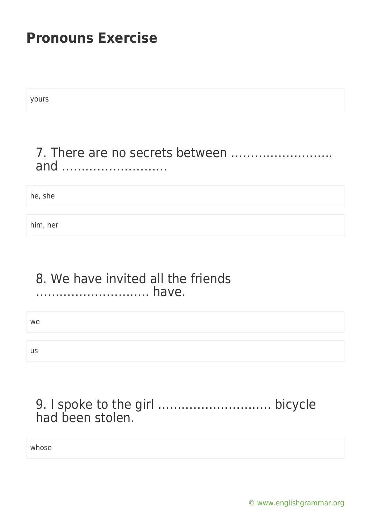yours

### 7. There are no secrets between …………………….. and ………………………

he, she

him, her

#### 8. We have invited all the friends ……………………….. have.

we

us

### 9. I spoke to the girl ……………………….. bicycle had been stolen.

whose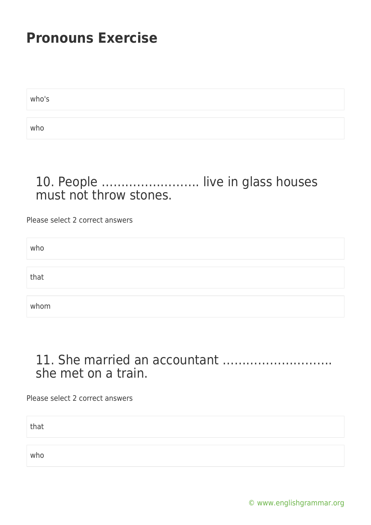who's who

### 10. People ……………………. live in glass houses must not throw stones.

Please select 2 correct answers

| who  |  |  |  |
|------|--|--|--|
|      |  |  |  |
| that |  |  |  |
|      |  |  |  |
| whom |  |  |  |

#### 11. She married an accountant ………………………. she met on a train.

Please select 2 correct answers

that

who